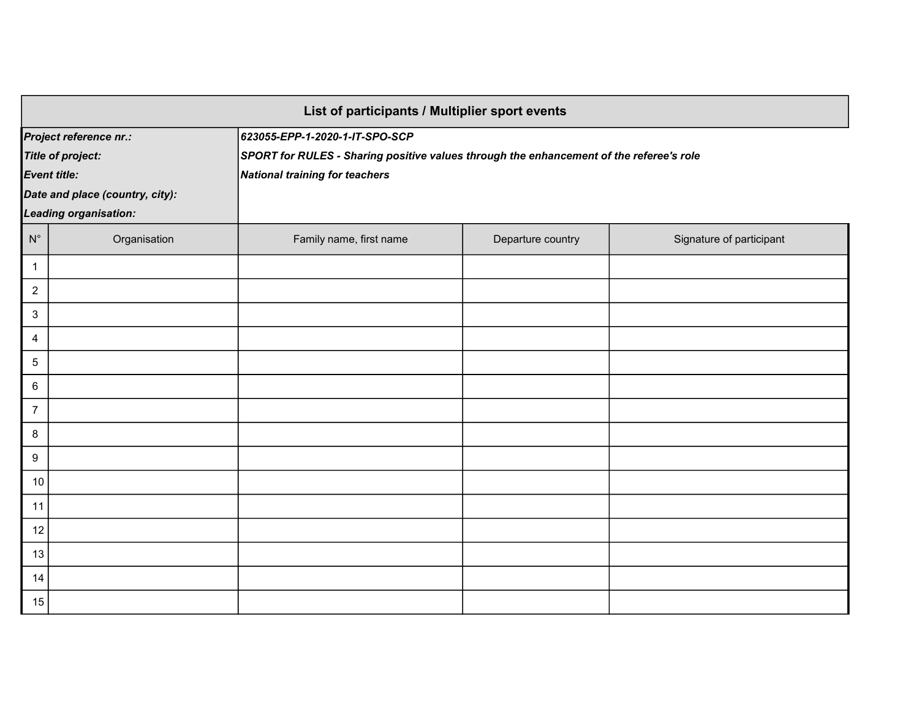| List of participants / Multiplier sport events |                       |                                                                                         |                   |                          |  |  |
|------------------------------------------------|-----------------------|-----------------------------------------------------------------------------------------|-------------------|--------------------------|--|--|
| Project reference nr.:                         |                       | 623055-EPP-1-2020-1-IT-SPO-SCP                                                          |                   |                          |  |  |
| <b>Title of project:</b>                       |                       | SPORT for RULES - Sharing positive values through the enhancement of the referee's role |                   |                          |  |  |
| <b>Event title:</b>                            |                       | National training for teachers                                                          |                   |                          |  |  |
| Date and place (country, city):                |                       |                                                                                         |                   |                          |  |  |
|                                                | Leading organisation: |                                                                                         |                   |                          |  |  |
| $N^{\circ}$                                    | Organisation          | Family name, first name                                                                 | Departure country | Signature of participant |  |  |
| 1                                              |                       |                                                                                         |                   |                          |  |  |
| $\overline{a}$                                 |                       |                                                                                         |                   |                          |  |  |
| $\mathbf{3}$                                   |                       |                                                                                         |                   |                          |  |  |
| $\overline{4}$                                 |                       |                                                                                         |                   |                          |  |  |
| 5                                              |                       |                                                                                         |                   |                          |  |  |
| 6                                              |                       |                                                                                         |                   |                          |  |  |
| $\overline{7}$                                 |                       |                                                                                         |                   |                          |  |  |
| 8                                              |                       |                                                                                         |                   |                          |  |  |
| 9                                              |                       |                                                                                         |                   |                          |  |  |
| 10                                             |                       |                                                                                         |                   |                          |  |  |
| 11                                             |                       |                                                                                         |                   |                          |  |  |
| 12                                             |                       |                                                                                         |                   |                          |  |  |
| 13                                             |                       |                                                                                         |                   |                          |  |  |
| 14                                             |                       |                                                                                         |                   |                          |  |  |
| 15                                             |                       |                                                                                         |                   |                          |  |  |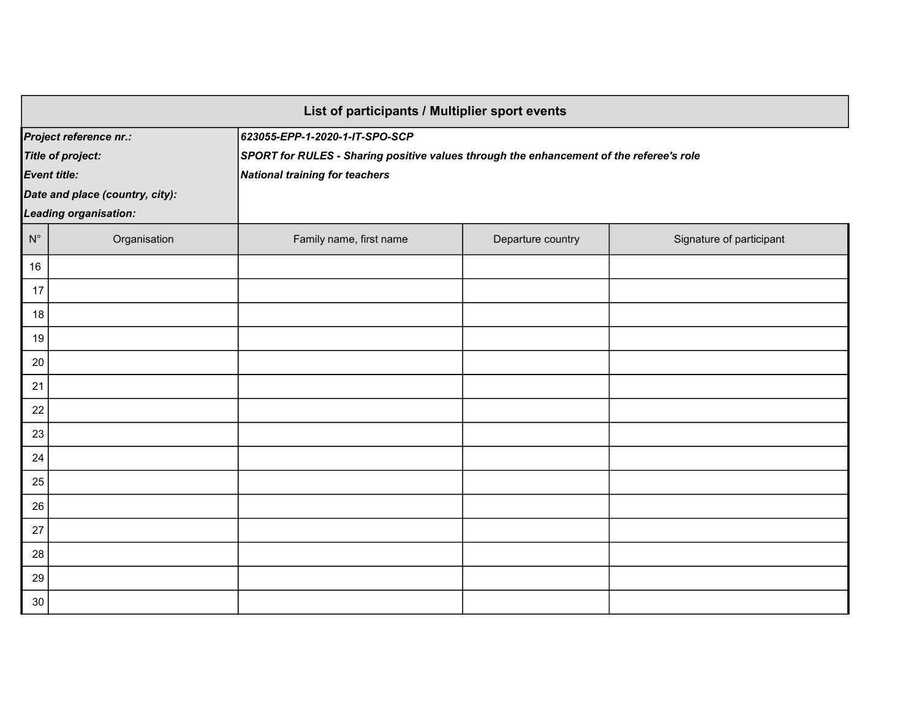| List of participants / Multiplier sport events |                                 |                                                                                         |                   |                          |  |
|------------------------------------------------|---------------------------------|-----------------------------------------------------------------------------------------|-------------------|--------------------------|--|
| Project reference nr.:                         |                                 | 623055-EPP-1-2020-1-IT-SPO-SCP                                                          |                   |                          |  |
| <b>Title of project:</b>                       |                                 | SPORT for RULES - Sharing positive values through the enhancement of the referee's role |                   |                          |  |
| <b>Event title:</b>                            |                                 | National training for teachers                                                          |                   |                          |  |
|                                                | Date and place (country, city): |                                                                                         |                   |                          |  |
|                                                | <b>Leading organisation:</b>    |                                                                                         |                   |                          |  |
| $\mathsf{N}^\circ$                             | Organisation                    | Family name, first name                                                                 | Departure country | Signature of participant |  |
| 16                                             |                                 |                                                                                         |                   |                          |  |
| 17                                             |                                 |                                                                                         |                   |                          |  |
| 18                                             |                                 |                                                                                         |                   |                          |  |
| 19                                             |                                 |                                                                                         |                   |                          |  |
| 20                                             |                                 |                                                                                         |                   |                          |  |
| 21                                             |                                 |                                                                                         |                   |                          |  |
| 22                                             |                                 |                                                                                         |                   |                          |  |
| 23                                             |                                 |                                                                                         |                   |                          |  |
| 24                                             |                                 |                                                                                         |                   |                          |  |
| 25                                             |                                 |                                                                                         |                   |                          |  |
| 26                                             |                                 |                                                                                         |                   |                          |  |
| 27                                             |                                 |                                                                                         |                   |                          |  |
| 28                                             |                                 |                                                                                         |                   |                          |  |
| 29                                             |                                 |                                                                                         |                   |                          |  |
| 30                                             |                                 |                                                                                         |                   |                          |  |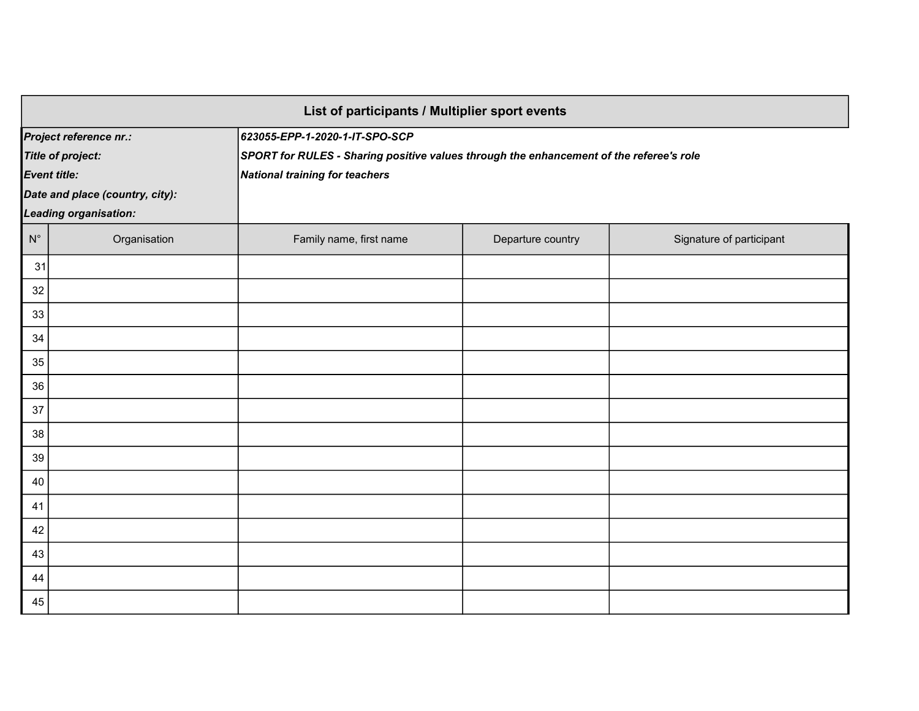| List of participants / Multiplier sport events |                                 |                                                                                         |                   |                          |  |
|------------------------------------------------|---------------------------------|-----------------------------------------------------------------------------------------|-------------------|--------------------------|--|
| Project reference nr.:                         |                                 | 623055-EPP-1-2020-1-IT-SPO-SCP                                                          |                   |                          |  |
| <b>Title of project:</b>                       |                                 | SPORT for RULES - Sharing positive values through the enhancement of the referee's role |                   |                          |  |
|                                                | <b>Event title:</b>             | National training for teachers                                                          |                   |                          |  |
|                                                | Date and place (country, city): |                                                                                         |                   |                          |  |
|                                                | <b>Leading organisation:</b>    |                                                                                         |                   |                          |  |
| $\mathsf{N}^\circ$                             | Organisation                    | Family name, first name                                                                 | Departure country | Signature of participant |  |
| 31                                             |                                 |                                                                                         |                   |                          |  |
| 32                                             |                                 |                                                                                         |                   |                          |  |
| 33                                             |                                 |                                                                                         |                   |                          |  |
| 34                                             |                                 |                                                                                         |                   |                          |  |
| 35                                             |                                 |                                                                                         |                   |                          |  |
| 36                                             |                                 |                                                                                         |                   |                          |  |
| 37                                             |                                 |                                                                                         |                   |                          |  |
| 38                                             |                                 |                                                                                         |                   |                          |  |
| 39                                             |                                 |                                                                                         |                   |                          |  |
| 40                                             |                                 |                                                                                         |                   |                          |  |
| 41                                             |                                 |                                                                                         |                   |                          |  |
| 42                                             |                                 |                                                                                         |                   |                          |  |
| 43                                             |                                 |                                                                                         |                   |                          |  |
| 44                                             |                                 |                                                                                         |                   |                          |  |
| 45                                             |                                 |                                                                                         |                   |                          |  |